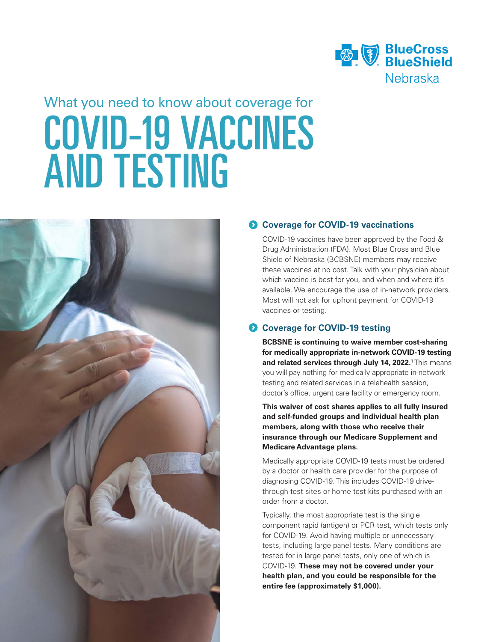

# COVID-19 VACCINES AND TESTING What you need to know about coverage for



## **Coverage for COVID-19 vaccinations**

COVID-19 vaccines have been approved by the Food & Drug Administration (FDA). Most Blue Cross and Blue Shield of Nebraska (BCBSNE) members may receive these vaccines at no cost. Talk with your physician about which vaccine is best for you, and when and where it's available. We encourage the use of in-network providers. Most will not ask for upfront payment for COVID-19 vaccines or testing.

## **Coverage for COVID-19 testing**

**BCBSNE is continuing to waive member cost-sharing for medically appropriate in-network COVID-19 testing**  and related services through July 14, 2022.<sup>1</sup> This means you will pay nothing for medically appropriate in-network testing and related services in a telehealth session, doctor's office, urgent care facility or emergency room.

**This waiver of cost shares applies to all fully insured and self-funded groups and individual health plan members, along with those who receive their insurance through our Medicare Supplement and Medicare Advantage plans.**

Medically appropriate COVID-19 tests must be ordered by a doctor or health care provider for the purpose of diagnosing COVID-19. This includes COVID-19 drivethrough test sites or home test kits purchased with an order from a doctor.

Typically, the most appropriate test is the single component rapid (antigen) or PCR test, which tests only for COVID-19. Avoid having multiple or unnecessary tests, including large panel tests. Many conditions are tested for in large panel tests, only one of which is COVID-19. **These may not be covered under your health plan, and you could be responsible for the entire fee (approximately \$1,000).**